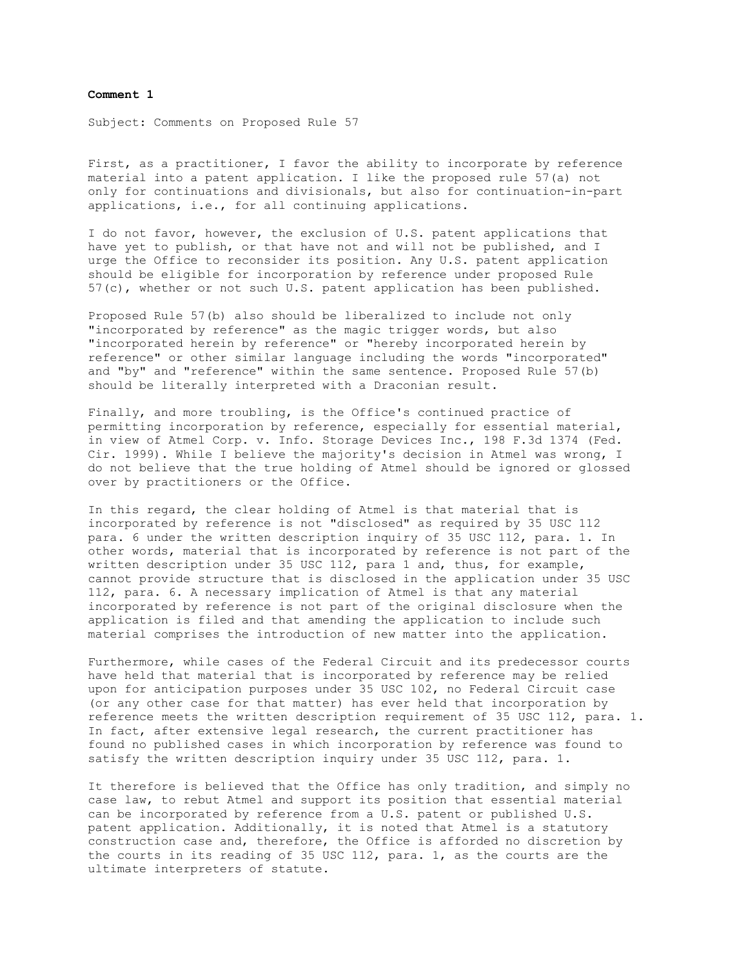## **Comment 1**

Subject: Comments on Proposed Rule 57

First, as a practitioner, I favor the ability to incorporate by reference material into a patent application. I like the proposed rule 57(a) not only for continuations and divisionals, but also for continuation-in-part applications, i.e., for all continuing applications.

I do not favor, however, the exclusion of U.S. patent applications that have yet to publish, or that have not and will not be published, and I urge the Office to reconsider its position. Any U.S. patent application should be eligible for incorporation by reference under proposed Rule 57(c), whether or not such U.S. patent application has been published.

Proposed Rule 57(b) also should be liberalized to include not only "incorporated by reference" as the magic trigger words, but also "incorporated herein by reference" or "hereby incorporated herein by reference" or other similar language including the words "incorporated" and "by" and "reference" within the same sentence. Proposed Rule 57(b) should be literally interpreted with a Draconian result.

Finally, and more troubling, is the Office's continued practice of permitting incorporation by reference, especially for essential material, in view of Atmel Corp. v. Info. Storage Devices Inc., 198 F.3d 1374 (Fed. Cir. 1999). While I believe the majority's decision in Atmel was wrong, I do not believe that the true holding of Atmel should be ignored or glossed over by practitioners or the Office.

In this regard, the clear holding of Atmel is that material that is incorporated by reference is not "disclosed" as required by 35 USC 112 para. 6 under the written description inquiry of 35 USC 112, para. 1. In other words, material that is incorporated by reference is not part of the written description under 35 USC 112, para 1 and, thus, for example, cannot provide structure that is disclosed in the application under 35 USC 112, para. 6. A necessary implication of Atmel is that any material incorporated by reference is not part of the original disclosure when the application is filed and that amending the application to include such material comprises the introduction of new matter into the application.

Furthermore, while cases of the Federal Circuit and its predecessor courts have held that material that is incorporated by reference may be relied upon for anticipation purposes under 35 USC 102, no Federal Circuit case (or any other case for that matter) has ever held that incorporation by reference meets the written description requirement of 35 USC 112, para. 1. In fact, after extensive legal research, the current practitioner has found no published cases in which incorporation by reference was found to satisfy the written description inquiry under 35 USC 112, para. 1.

It therefore is believed that the Office has only tradition, and simply no case law, to rebut Atmel and support its position that essential material can be incorporated by reference from a U.S. patent or published U.S. patent application. Additionally, it is noted that Atmel is a statutory construction case and, therefore, the Office is afforded no discretion by the courts in its reading of 35 USC 112, para. 1, as the courts are the ultimate interpreters of statute.